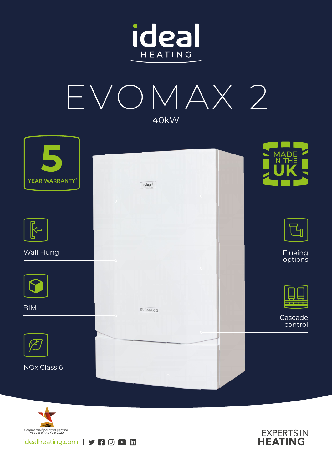



| E<br>YEAR WARRANTY* | ideal    | MADE<br>IN THE     |
|---------------------|----------|--------------------|
|                     | 01       |                    |
| ⇦                   |          |                    |
| Wall Hung           |          | Flueing<br>options |
|                     |          |                    |
| <b>BIM</b>          | EVOMAX 2 |                    |
|                     |          | Cascade<br>control |
|                     |          |                    |
| NOx Class 6         |          |                    |
|                     |          |                    |



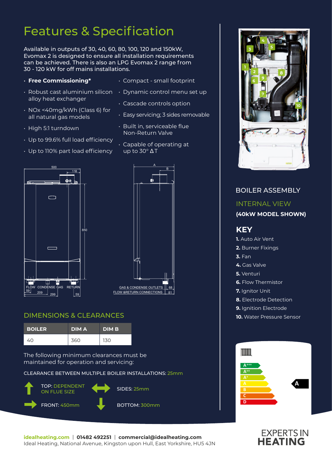## Features & Specification

Available in outputs of 30, 40, 60, 80, 100, 120 and 150kW, Evomax 2 is designed to ensure all installation requirements can be achieved. There is also an LPG Evomax 2 range from 30 - 120 kW for off mains installations.

- **Free Commissioning\***
- alloy heat exchanger
- NOx <40mg/kWh (Class 6) for all natural gas models
- High 5:1 turndown
- Up to 99.6% full load efficiency
- Up to 110% part load efficiency
- Compact small footprint
- $\cdot$  Robust cast aluminium silicon  $\;\;\cdot\;$  Dynamic control menu set up
	- Cascade controls option
	- Easy servicing; 3 sides removable
	- Built in, serviceable flue Non-Return Valve
	- Capable of operating at  $\overline{up}$  to 30 $\degree$   $\Delta T$





#### DIMENSIONS & CLEARANCES

| <b>BOILER</b> | <b>DIMA</b> | <b>DIMB</b> |
|---------------|-------------|-------------|
| 40.           | 360         | 130         |

The following minimum clearances must be maintained for operation and servicing:

CLEARANCE BETWEEN MULTIPLE BOILER INSTALLATIONS: 25mm





### BOILER ASSEMBLY INTERNAL VIEW **(40kW MODEL SHOWN) KEY 1.** Auto Air Vent **2.** Burner Fixings **3.** Fan **4.** Gas Valve **5.** Venturi **6.** Flow Thermistor **7.** Ignitor Unit **8.** Electrode Detection **9.** Ignition Electrode **10.** Water Pressure Sensor Imm **A+++ A++ A**



# **EXPERTS IN**<br>**HEATING**

**idealheating.com** | **01482 492251** | **commercial@idealheating.com**  Ideal Heating, National Avenue, Kingston upon Hull, East Yorkshire, HU5 4JN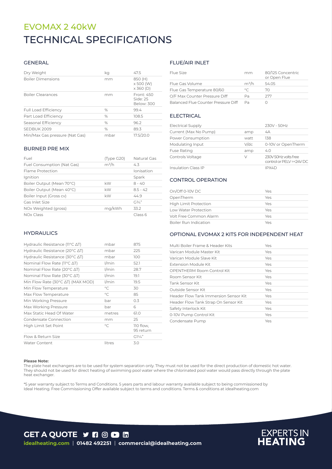## TECHNICAL SPECIFICATIONS EVOMAX 2 40kW

#### GENERAL

| Dry Weight                     | kq   | 47.5                                     |
|--------------------------------|------|------------------------------------------|
| <b>Boiler Dimensions</b>       | mm   | 850 (H)<br>x 500 (W)<br>$\times$ 360 (D) |
| <b>Boiler Clearances</b>       | mm   | Front: 450<br>Side: 25<br>Below: 300     |
| <b>Full Load Efficiency</b>    | $\%$ | 99.4                                     |
| Part Load Efficiency           | $\%$ | 108.5                                    |
| Seasonal Efficiency            | $\%$ | 96.2                                     |
| SEDBUK 2009                    | $\%$ | 89.3                                     |
| Min/Max Gas pressure (Nat Gas) | mbar | 17.5/20.0                                |

#### BURNER PRE MIX

| Fuel                       | (Type G20) | Natural Gas      |
|----------------------------|------------|------------------|
| Fuel Consumption (Nat Gas) | $m^3/h$    | 43               |
| Flame Protection           |            | Ionisation       |
| Ignition                   |            | Spark            |
| Boiler Output (Mean 70°C)  | kW         | $8 - 40$         |
| Boiler Output (Mean 40°C)  | kW         | $85 - 42$        |
| Boiler Input (Gross cv)    | kW         | 449              |
| Gas Inlet Size             |            | $C_1^3/\angle$ " |
| NOx Weighted (gross)       | mg/kWh     | 33.2             |
| NO <sub>x</sub> Class      |            | Class 6          |

#### **HYDRAULICS**

| <b>Water Content</b>                                | litres       | 3.0                    |
|-----------------------------------------------------|--------------|------------------------|
| Flow & Return Size                                  |              | $GI\frac{1}{4}$        |
| High Limit Set Point                                | $\circ$ C    | 110 flow,<br>95 return |
| Condensate Connection                               | mm           | 25                     |
| Max Static Head Of Water                            | metres       | 61.0                   |
| Max Working Pressure                                | bar          | 6                      |
| Min Working Pressure                                | bar          | 0.3                    |
| Max Flow Temperature                                | $^{\circ}$ C | 85                     |
| Min Flow Temperature                                | $^{\circ}$ C | 30                     |
| Min Flow Rate (30°C ∆T) (MAX MOD)                   | l/min        | 19.5                   |
| Nominal Flow Rate (30°C ∆T)                         | $1/m$ in     | 19.1                   |
| Nominal Flow Rate (20°C ∆T)                         | $1/m$ in     | 28.7                   |
| Nominal Flow Rate (11°C ΔT)                         | $1/m$ in     | 52.1                   |
| Hydraulic Resistance (30 $\degree$ C $\triangle$ T) | mbar         | 100                    |
| Hydraulic Resistance (20 $\degree$ C $\triangle$ T) | mbar         | 225                    |
| Hydraulic Resistance ( $11^{\circ}$ C $\Delta$ T)   | mbar         | 875                    |

#### FLUE/AIR INLET

| Flue Size                           | mm      | 80/125 Concentric<br>or Open Flue |
|-------------------------------------|---------|-----------------------------------|
| Flue Gas Volume                     | $m^3/h$ | 5405                              |
| Flue Gas Temperature 80/60          | $\circ$ | 70                                |
| O/F Max Counter Pressure Diff       | Pa      | 277                               |
| Balanced Flue Counter Pressure Diff | Da      |                                   |

#### ELECTRICAL

| <b>Electrical Supply</b>   |         | 230V - 50Hz                                     |
|----------------------------|---------|-------------------------------------------------|
| Current (Max No Pump)      | amp     | 4A                                              |
| Power Consumption          | watt    | 138                                             |
| Modulating Input           | $V$ /dc | 0-10V or OpenTherm                              |
| <b>Fuse Rating</b>         | amp     | 4.0                                             |
| Controls Voltage           | V       | 230V 50Hz volts free<br>control or PELV=<24V DC |
| <b>Insulation Class IP</b> |         | IPX4D                                           |

#### CONTROL OPERATION

| On/Off 0-10V DC              | Yes |
|------------------------------|-----|
| OpenTherm                    | Yes |
| <b>High Limit Protection</b> | Yes |
| Low Water Protection         | Yes |
| Volt Free Common Alarm       | Yes |
| Boiler Run Indication        | Yes |

#### OPTIONAL EVOMAX 2 KITS FOR INDEPENDENT HEAT

| Multi Boiler Frame & Header Kits      | Yes |
|---------------------------------------|-----|
| Varican Module Master Kit             | Yes |
| Varican Module Slave Kit              | Yes |
| Extension Module Kit                  | Yes |
| OPENTHERM Room Control Kit            | Yes |
| Room Sensor Kit                       | Yes |
| Tank Sensor Kit                       | Yes |
| Outside Sensor Kit                    | Yes |
| Header Flow Tank Immersion Sensor Kit | Yes |
| Header Flow Tank Strap On Sensor Kit  | Yes |
| Safety Interlock Kit                  | Yes |
| 0-10V Pump Control Kit                | Yes |
| Condensate Pump                       | Yes |

#### **Please Note:**

The plate heat exchangers are to be used for system separation only. They must not be used for the direct production of domestic hot water. They should not be used for direct heating of swimming pool water where the chlorinated pool water would pass directly through the plate heat exchanger.

\*5 year warranty subject to Terms and Conditions. 5 years parts and labour warranty available subject to being commissioned by Ideal Heating. Free Commissioning Offer available subject to terms and conditions. Terms & conditions at idealheating.com



**GET A QUOTE Y R @ D H idealheating.com** | **01482 492251** | **commercial@idealheating.com**